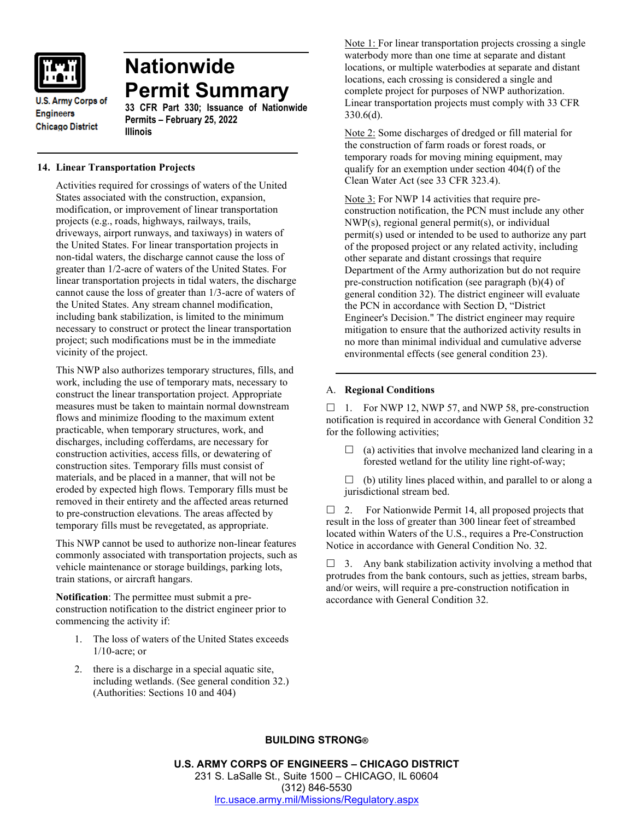

**U.S. Army Corps of Engineers Chicago District** 

# **Nationwide Permit Summary**

**33 CFR Part 330; Issuance of Nationwide Permits – February 25, 2022 Illinois**

# **14. Linear Transportation Projects**

Activities required for crossings of waters of the United States associated with the construction, expansion, modification, or improvement of linear transportation projects (e.g., roads, highways, railways, trails, driveways, airport runways, and taxiways) in waters of the United States. For linear transportation projects in non-tidal waters, the discharge cannot cause the loss of greater than 1/2-acre of waters of the United States. For linear transportation projects in tidal waters, the discharge cannot cause the loss of greater than 1/3-acre of waters of the United States. Any stream channel modification, including bank stabilization, is limited to the minimum necessary to construct or protect the linear transportation project; such modifications must be in the immediate vicinity of the project.

This NWP also authorizes temporary structures, fills, and work, including the use of temporary mats, necessary to construct the linear transportation project. Appropriate measures must be taken to maintain normal downstream flows and minimize flooding to the maximum extent practicable, when temporary structures, work, and discharges, including cofferdams, are necessary for construction activities, access fills, or dewatering of construction sites. Temporary fills must consist of materials, and be placed in a manner, that will not be eroded by expected high flows. Temporary fills must be removed in their entirety and the affected areas returned to pre-construction elevations. The areas affected by temporary fills must be revegetated, as appropriate.

This NWP cannot be used to authorize non-linear features commonly associated with transportation projects, such as vehicle maintenance or storage buildings, parking lots, train stations, or aircraft hangars.

**Notification**: The permittee must submit a preconstruction notification to the district engineer prior to commencing the activity if:

- 1. The loss of waters of the United States exceeds 1/10-acre; or
- 2. there is a discharge in a special aquatic site, including wetlands. (See general condition 32.) (Authorities: Sections 10 and 404)

Note 1: For linear transportation projects crossing a single waterbody more than one time at separate and distant locations, or multiple waterbodies at separate and distant locations, each crossing is considered a single and complete project for purposes of NWP authorization. Linear transportation projects must comply with 33 CFR 330.6(d).

Note 2: Some discharges of dredged or fill material for the construction of farm roads or forest roads, or temporary roads for moving mining equipment, may qualify for an exemption under section 404(f) of the Clean Water Act (see 33 CFR 323.4).

Note 3: For NWP 14 activities that require preconstruction notification, the PCN must include any other NWP(s), regional general permit(s), or individual permit(s) used or intended to be used to authorize any part of the proposed project or any related activity, including other separate and distant crossings that require Department of the Army authorization but do not require pre-construction notification (see paragraph (b)(4) of general condition 32). The district engineer will evaluate the PCN in accordance with Section D, "District Engineer's Decision." The district engineer may require mitigation to ensure that the authorized activity results in no more than minimal individual and cumulative adverse environmental effects (see general condition 23).

# A. **Regional Conditions**

 $\Box$  1. For NWP 12, NWP 57, and NWP 58, pre-construction notification is required in accordance with General Condition 32 for the following activities;

 $\Box$  (a) activities that involve mechanized land clearing in a forested wetland for the utility line right-of-way;

 $\Box$  (b) utility lines placed within, and parallel to or along a jurisdictional stream bed.

 $\Box$  2. For Nationwide Permit 14, all proposed projects that result in the loss of greater than 300 linear feet of streambed located within Waters of the U.S., requires a Pre-Construction Notice in accordance with General Condition No. 32.

 $\Box$  3. Any bank stabilization activity involving a method that protrudes from the bank contours, such as jetties, stream barbs, and/or weirs, will require a pre-construction notification in accordance with General Condition 32.

# **BUILDING STRONG®**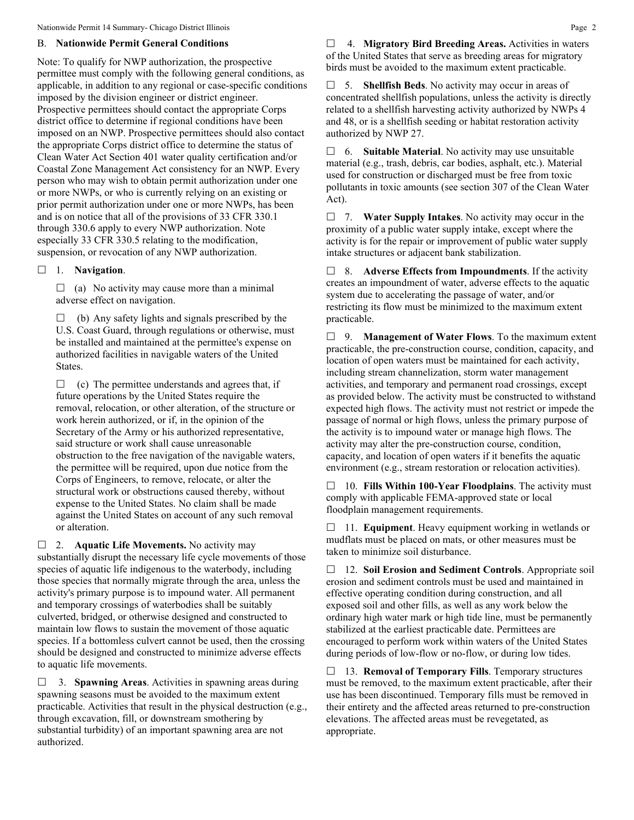#### B. **Nationwide Permit General Conditions**

Note: To qualify for NWP authorization, the prospective permittee must comply with the following general conditions, as applicable, in addition to any regional or case-specific conditions imposed by the division engineer or district engineer. Prospective permittees should contact the appropriate Corps district office to determine if regional conditions have been imposed on an NWP. Prospective permittees should also contact the appropriate Corps district office to determine the status of Clean Water Act Section 401 water quality certification and/or Coastal Zone Management Act consistency for an NWP. Every person who may wish to obtain permit authorization under one or more NWPs, or who is currently relying on an existing or prior permit authorization under one or more NWPs, has been and is on notice that all of the provisions of 33 CFR 330.1 through 330.6 apply to every NWP authorization. Note especially 33 CFR 330.5 relating to the modification, suspension, or revocation of any NWP authorization.

## 1. **Navigation**.

 $\Box$  (a) No activity may cause more than a minimal adverse effect on navigation.

 $\Box$  (b) Any safety lights and signals prescribed by the U.S. Coast Guard, through regulations or otherwise, must be installed and maintained at the permittee's expense on authorized facilities in navigable waters of the United States.

 $\Box$  (c) The permittee understands and agrees that, if future operations by the United States require the removal, relocation, or other alteration, of the structure or work herein authorized, or if, in the opinion of the Secretary of the Army or his authorized representative, said structure or work shall cause unreasonable obstruction to the free navigation of the navigable waters, the permittee will be required, upon due notice from the Corps of Engineers, to remove, relocate, or alter the structural work or obstructions caused thereby, without expense to the United States. No claim shall be made against the United States on account of any such removal or alteration.

□ 2. **Aquatic Life Movements.** No activity may substantially disrupt the necessary life cycle movements of those species of aquatic life indigenous to the waterbody, including those species that normally migrate through the area, unless the activity's primary purpose is to impound water. All permanent and temporary crossings of waterbodies shall be suitably culverted, bridged, or otherwise designed and constructed to maintain low flows to sustain the movement of those aquatic species. If a bottomless culvert cannot be used, then the crossing should be designed and constructed to minimize adverse effects to aquatic life movements.

 3. **Spawning Areas**. Activities in spawning areas during spawning seasons must be avoided to the maximum extent practicable. Activities that result in the physical destruction (e.g., through excavation, fill, or downstream smothering by substantial turbidity) of an important spawning area are not authorized.

 4. **Migratory Bird Breeding Areas.** Activities in waters of the United States that serve as breeding areas for migratory birds must be avoided to the maximum extent practicable.

 5. **Shellfish Beds**. No activity may occur in areas of concentrated shellfish populations, unless the activity is directly related to a shellfish harvesting activity authorized by NWPs 4 and 48, or is a shellfish seeding or habitat restoration activity authorized by NWP 27.

 6. **Suitable Material**. No activity may use unsuitable material (e.g., trash, debris, car bodies, asphalt, etc.). Material used for construction or discharged must be free from toxic pollutants in toxic amounts (see section 307 of the Clean Water Act).

 7. **Water Supply Intakes**. No activity may occur in the proximity of a public water supply intake, except where the activity is for the repair or improvement of public water supply intake structures or adjacent bank stabilization.

 8. **Adverse Effects from Impoundments**. If the activity creates an impoundment of water, adverse effects to the aquatic system due to accelerating the passage of water, and/or restricting its flow must be minimized to the maximum extent practicable.

 9. **Management of Water Flows**. To the maximum extent practicable, the pre-construction course, condition, capacity, and location of open waters must be maintained for each activity, including stream channelization, storm water management activities, and temporary and permanent road crossings, except as provided below. The activity must be constructed to withstand expected high flows. The activity must not restrict or impede the passage of normal or high flows, unless the primary purpose of the activity is to impound water or manage high flows. The activity may alter the pre-construction course, condition, capacity, and location of open waters if it benefits the aquatic environment (e.g., stream restoration or relocation activities).

 10. **Fills Within 100-Year Floodplains**. The activity must comply with applicable FEMA-approved state or local floodplain management requirements.

 11. **Equipment**. Heavy equipment working in wetlands or mudflats must be placed on mats, or other measures must be taken to minimize soil disturbance.

 12. **Soil Erosion and Sediment Controls**. Appropriate soil erosion and sediment controls must be used and maintained in effective operating condition during construction, and all exposed soil and other fills, as well as any work below the ordinary high water mark or high tide line, must be permanently stabilized at the earliest practicable date. Permittees are encouraged to perform work within waters of the United States during periods of low-flow or no-flow, or during low tides.

 13. **Removal of Temporary Fills**. Temporary structures must be removed, to the maximum extent practicable, after their use has been discontinued. Temporary fills must be removed in their entirety and the affected areas returned to pre-construction elevations. The affected areas must be revegetated, as appropriate.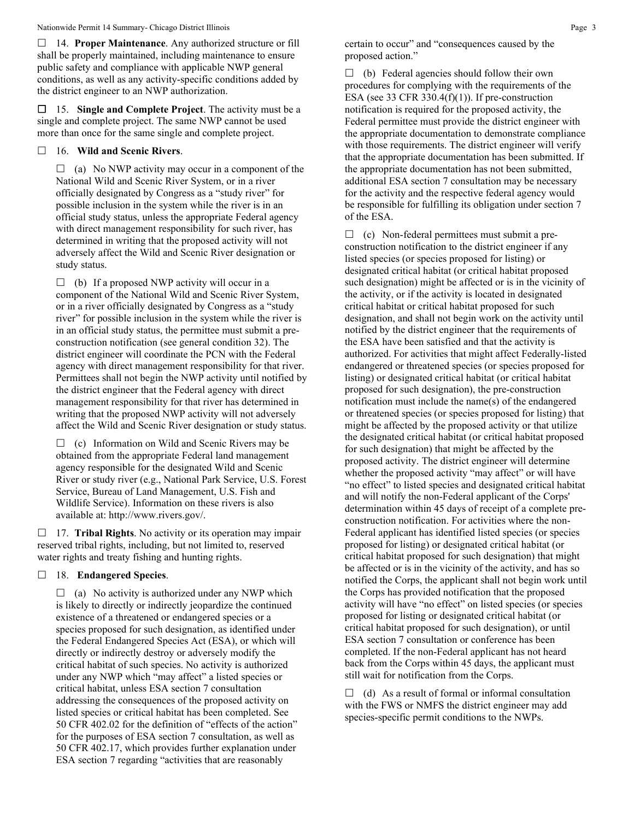14. **Proper Maintenance**. Any authorized structure or fill shall be properly maintained, including maintenance to ensure public safety and compliance with applicable NWP general conditions, as well as any activity-specific conditions added by the district engineer to an NWP authorization.

 15. **Single and Complete Project**. The activity must be a single and complete project. The same NWP cannot be used more than once for the same single and complete project.

## 16. **Wild and Scenic Rivers**.

 $\Box$  (a) No NWP activity may occur in a component of the National Wild and Scenic River System, or in a river officially designated by Congress as a "study river" for possible inclusion in the system while the river is in an official study status, unless the appropriate Federal agency with direct management responsibility for such river, has determined in writing that the proposed activity will not adversely affect the Wild and Scenic River designation or study status.

 $\Box$  (b) If a proposed NWP activity will occur in a component of the National Wild and Scenic River System, or in a river officially designated by Congress as a "study river" for possible inclusion in the system while the river is in an official study status, the permittee must submit a preconstruction notification (see general condition 32). The district engineer will coordinate the PCN with the Federal agency with direct management responsibility for that river. Permittees shall not begin the NWP activity until notified by the district engineer that the Federal agency with direct management responsibility for that river has determined in writing that the proposed NWP activity will not adversely affect the Wild and Scenic River designation or study status.

 $\Box$  (c) Information on Wild and Scenic Rivers may be obtained from the appropriate Federal land management agency responsible for the designated Wild and Scenic River or study river (e.g., National Park Service, U.S. Forest Service, Bureau of Land Management, U.S. Fish and Wildlife Service). Information on these rivers is also available at: http://www.rivers.gov/.

 17. **Tribal Rights**. No activity or its operation may impair reserved tribal rights, including, but not limited to, reserved water rights and treaty fishing and hunting rights.

#### 18. **Endangered Species**.

 $\Box$  (a) No activity is authorized under any NWP which is likely to directly or indirectly jeopardize the continued existence of a threatened or endangered species or a species proposed for such designation, as identified under the Federal Endangered Species Act (ESA), or which will directly or indirectly destroy or adversely modify the critical habitat of such species. No activity is authorized under any NWP which "may affect" a listed species or critical habitat, unless ESA section 7 consultation addressing the consequences of the proposed activity on listed species or critical habitat has been completed. See 50 CFR 402.02 for the definition of "effects of the action" for the purposes of ESA section 7 consultation, as well as 50 CFR 402.17, which provides further explanation under ESA section 7 regarding "activities that are reasonably

certain to occur" and "consequences caused by the proposed action."

 $\Box$  (b) Federal agencies should follow their own procedures for complying with the requirements of the ESA (see 33 CFR 330.4(f)(1)). If pre-construction notification is required for the proposed activity, the Federal permittee must provide the district engineer with the appropriate documentation to demonstrate compliance with those requirements. The district engineer will verify that the appropriate documentation has been submitted. If the appropriate documentation has not been submitted, additional ESA section 7 consultation may be necessary for the activity and the respective federal agency would be responsible for fulfilling its obligation under section 7 of the ESA.

 $\Box$  (c) Non-federal permittees must submit a preconstruction notification to the district engineer if any listed species (or species proposed for listing) or designated critical habitat (or critical habitat proposed such designation) might be affected or is in the vicinity of the activity, or if the activity is located in designated critical habitat or critical habitat proposed for such designation, and shall not begin work on the activity until notified by the district engineer that the requirements of the ESA have been satisfied and that the activity is authorized. For activities that might affect Federally-listed endangered or threatened species (or species proposed for listing) or designated critical habitat (or critical habitat proposed for such designation), the pre-construction notification must include the name(s) of the endangered or threatened species (or species proposed for listing) that might be affected by the proposed activity or that utilize the designated critical habitat (or critical habitat proposed for such designation) that might be affected by the proposed activity. The district engineer will determine whether the proposed activity "may affect" or will have "no effect" to listed species and designated critical habitat and will notify the non-Federal applicant of the Corps' determination within 45 days of receipt of a complete preconstruction notification. For activities where the non-Federal applicant has identified listed species (or species proposed for listing) or designated critical habitat (or critical habitat proposed for such designation) that might be affected or is in the vicinity of the activity, and has so notified the Corps, the applicant shall not begin work until the Corps has provided notification that the proposed activity will have "no effect" on listed species (or species proposed for listing or designated critical habitat (or critical habitat proposed for such designation), or until ESA section 7 consultation or conference has been completed. If the non-Federal applicant has not heard back from the Corps within 45 days, the applicant must still wait for notification from the Corps.

 $\Box$  (d) As a result of formal or informal consultation with the FWS or NMFS the district engineer may add species-specific permit conditions to the NWPs.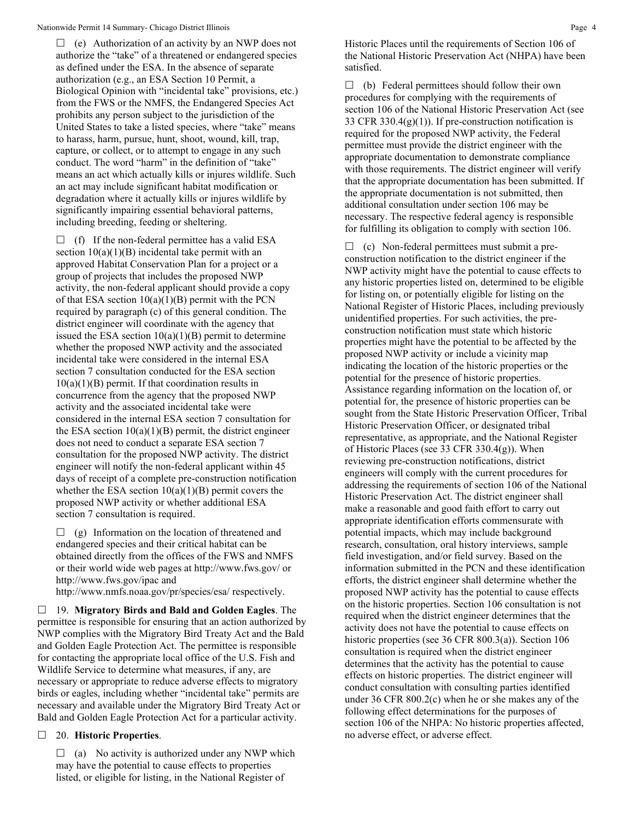$\Box$  (e) Authorization of an activity by an NWP does not authorize the "take" of a threatened or endangered species as defined under the ESA. In the absence of separate authorization (e.g., an ESA Section 10 Permit, a Biological Opinion with "incidental take" provisions, etc.) from the FWS or the NMFS, the Endangered Species Act prohibits any person subject to the jurisdiction of the United States to take a listed species, where "take" means to harass, harm, pursue, hunt, shoot, wound, kill, trap, capture, or collect, or to attempt to engage in any such conduct. The word "harm" in the definition of "take" means an act which actually kills or injures wildlife. Such an act may include significant habitat modification or degradation where it actually kills or injures wildlife by significantly impairing essential behavioral patterns, including breeding, feeding or sheltering.

 $\Box$  (f) If the non-federal permittee has a valid ESA section  $10(a)(1)(B)$  incidental take permit with an approved Habitat Conservation Plan for a project or a group of projects that includes the proposed NWP activity, the non-federal applicant should provide a copy of that ESA section  $10(a)(1)(B)$  permit with the PCN required by paragraph (c) of this general condition. The district engineer will coordinate with the agency that issued the ESA section  $10(a)(1)(B)$  permit to determine whether the proposed NWP activity and the associated incidental take were considered in the internal ESA section 7 consultation conducted for the ESA section  $10(a)(1)(B)$  permit. If that coordination results in concurrence from the agency that the proposed NWP activity and the associated incidental take were considered in the internal ESA section 7 consultation for the ESA section  $10(a)(1)(B)$  permit, the district engineer does not need to conduct a separate ESA section 7 consultation for the proposed NWP activity. The district engineer will notify the non-federal applicant within 45 days of receipt of a complete pre-construction notification whether the ESA section  $10(a)(1)(B)$  permit covers the proposed NWP activity or whether additional ESA section 7 consultation is required.

 $\Box$  (g) Information on the location of threatened and endangered species and their critical habitat can be obtained directly from the offices of the FWS and NMFS or their world wide web pages at http://www.fws.gov/ or http://www.fws.gov/ipac and

http://www.nmfs.noaa.gov/pr/species/esa/ respectively.

 19. **Migratory Birds and Bald and Golden Eagles**. The permittee is responsible for ensuring that an action authorized by NWP complies with the Migratory Bird Treaty Act and the Bald and Golden Eagle Protection Act. The permittee is responsible for contacting the appropriate local office of the U.S. Fish and Wildlife Service to determine what measures, if any, are necessary or appropriate to reduce adverse effects to migratory birds or eagles, including whether "incidental take" permits are necessary and available under the Migratory Bird Treaty Act or Bald and Golden Eagle Protection Act for a particular activity.

## 20. **Historic Properties**.

 $\Box$  (a) No activity is authorized under any NWP which may have the potential to cause effects to properties listed, or eligible for listing, in the National Register of

Historic Places until the requirements of Section 106 of the National Historic Preservation Act (NHPA) have been satisfied.

 $\Box$  (b) Federal permittees should follow their own procedures for complying with the requirements of section 106 of the National Historic Preservation Act (see 33 CFR 330.4(g)(1)). If pre-construction notification is required for the proposed NWP activity, the Federal permittee must provide the district engineer with the appropriate documentation to demonstrate compliance with those requirements. The district engineer will verify that the appropriate documentation has been submitted. If the appropriate documentation is not submitted, then additional consultation under section 106 may be necessary. The respective federal agency is responsible for fulfilling its obligation to comply with section 106.

 $\Box$  (c) Non-federal permittees must submit a preconstruction notification to the district engineer if the NWP activity might have the potential to cause effects to any historic properties listed on, determined to be eligible for listing on, or potentially eligible for listing on the National Register of Historic Places, including previously unidentified properties. For such activities, the preconstruction notification must state which historic properties might have the potential to be affected by the proposed NWP activity or include a vicinity map indicating the location of the historic properties or the potential for the presence of historic properties. Assistance regarding information on the location of, or potential for, the presence of historic properties can be sought from the State Historic Preservation Officer, Tribal Historic Preservation Officer, or designated tribal representative, as appropriate, and the National Register of Historic Places (see 33 CFR 330.4(g)). When reviewing pre-construction notifications, district engineers will comply with the current procedures for addressing the requirements of section 106 of the National Historic Preservation Act. The district engineer shall make a reasonable and good faith effort to carry out appropriate identification efforts commensurate with potential impacts, which may include background research, consultation, oral history interviews, sample field investigation, and/or field survey. Based on the information submitted in the PCN and these identification efforts, the district engineer shall determine whether the proposed NWP activity has the potential to cause effects on the historic properties. Section 106 consultation is not required when the district engineer determines that the activity does not have the potential to cause effects on historic properties (see 36 CFR 800.3(a)). Section 106 consultation is required when the district engineer determines that the activity has the potential to cause effects on historic properties. The district engineer will conduct consultation with consulting parties identified under 36 CFR 800.2(c) when he or she makes any of the following effect determinations for the purposes of section 106 of the NHPA: No historic properties affected, no adverse effect, or adverse effect.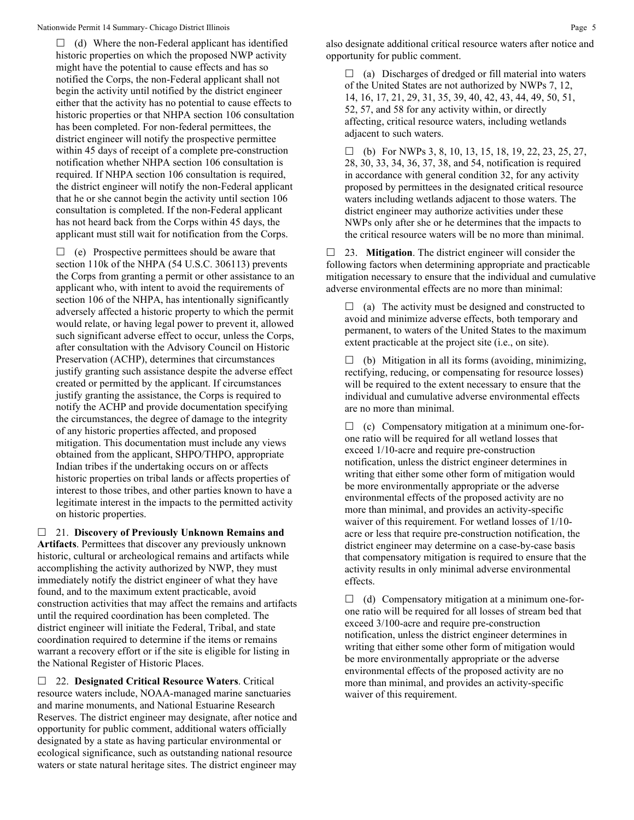$\Box$  (d) Where the non-Federal applicant has identified historic properties on which the proposed NWP activity might have the potential to cause effects and has so notified the Corps, the non-Federal applicant shall not begin the activity until notified by the district engineer either that the activity has no potential to cause effects to historic properties or that NHPA section 106 consultation has been completed. For non-federal permittees, the district engineer will notify the prospective permittee within 45 days of receipt of a complete pre-construction notification whether NHPA section 106 consultation is required. If NHPA section 106 consultation is required, the district engineer will notify the non-Federal applicant that he or she cannot begin the activity until section 106 consultation is completed. If the non-Federal applicant has not heard back from the Corps within 45 days, the applicant must still wait for notification from the Corps.

 $\Box$  (e) Prospective permittees should be aware that section 110k of the NHPA (54 U.S.C. 306113) prevents the Corps from granting a permit or other assistance to an applicant who, with intent to avoid the requirements of section 106 of the NHPA, has intentionally significantly adversely affected a historic property to which the permit would relate, or having legal power to prevent it, allowed such significant adverse effect to occur, unless the Corps, after consultation with the Advisory Council on Historic Preservation (ACHP), determines that circumstances justify granting such assistance despite the adverse effect created or permitted by the applicant. If circumstances justify granting the assistance, the Corps is required to notify the ACHP and provide documentation specifying the circumstances, the degree of damage to the integrity of any historic properties affected, and proposed mitigation. This documentation must include any views obtained from the applicant, SHPO/THPO, appropriate Indian tribes if the undertaking occurs on or affects historic properties on tribal lands or affects properties of interest to those tribes, and other parties known to have a legitimate interest in the impacts to the permitted activity on historic properties.

 21. **Discovery of Previously Unknown Remains and Artifacts**. Permittees that discover any previously unknown historic, cultural or archeological remains and artifacts while accomplishing the activity authorized by NWP, they must immediately notify the district engineer of what they have found, and to the maximum extent practicable, avoid construction activities that may affect the remains and artifacts until the required coordination has been completed. The district engineer will initiate the Federal, Tribal, and state coordination required to determine if the items or remains warrant a recovery effort or if the site is eligible for listing in the National Register of Historic Places.

 22. **Designated Critical Resource Waters**. Critical resource waters include, NOAA-managed marine sanctuaries and marine monuments, and National Estuarine Research Reserves. The district engineer may designate, after notice and opportunity for public comment, additional waters officially designated by a state as having particular environmental or ecological significance, such as outstanding national resource waters or state natural heritage sites. The district engineer may

 $\Box$  (a) Discharges of dredged or fill material into waters of the United States are not authorized by NWPs 7, 12, 14, 16, 17, 21, 29, 31, 35, 39, 40, 42, 43, 44, 49, 50, 51, 52, 57, and 58 for any activity within, or directly affecting, critical resource waters, including wetlands adjacent to such waters.

 $\Box$  (b) For NWPs 3, 8, 10, 13, 15, 18, 19, 22, 23, 25, 27, 28, 30, 33, 34, 36, 37, 38, and 54, notification is required in accordance with general condition 32, for any activity proposed by permittees in the designated critical resource waters including wetlands adjacent to those waters. The district engineer may authorize activities under these NWPs only after she or he determines that the impacts to the critical resource waters will be no more than minimal.

 23. **Mitigation**. The district engineer will consider the following factors when determining appropriate and practicable mitigation necessary to ensure that the individual and cumulative adverse environmental effects are no more than minimal:

 $\Box$  (a) The activity must be designed and constructed to avoid and minimize adverse effects, both temporary and permanent, to waters of the United States to the maximum extent practicable at the project site (i.e., on site).

 $\Box$  (b) Mitigation in all its forms (avoiding, minimizing, rectifying, reducing, or compensating for resource losses) will be required to the extent necessary to ensure that the individual and cumulative adverse environmental effects are no more than minimal.

 $\Box$  (c) Compensatory mitigation at a minimum one-forone ratio will be required for all wetland losses that exceed 1/10-acre and require pre-construction notification, unless the district engineer determines in writing that either some other form of mitigation would be more environmentally appropriate or the adverse environmental effects of the proposed activity are no more than minimal, and provides an activity-specific waiver of this requirement. For wetland losses of 1/10 acre or less that require pre-construction notification, the district engineer may determine on a case-by-case basis that compensatory mitigation is required to ensure that the activity results in only minimal adverse environmental effects.

 $\Box$  (d) Compensatory mitigation at a minimum one-forone ratio will be required for all losses of stream bed that exceed 3/100-acre and require pre-construction notification, unless the district engineer determines in writing that either some other form of mitigation would be more environmentally appropriate or the adverse environmental effects of the proposed activity are no more than minimal, and provides an activity-specific waiver of this requirement.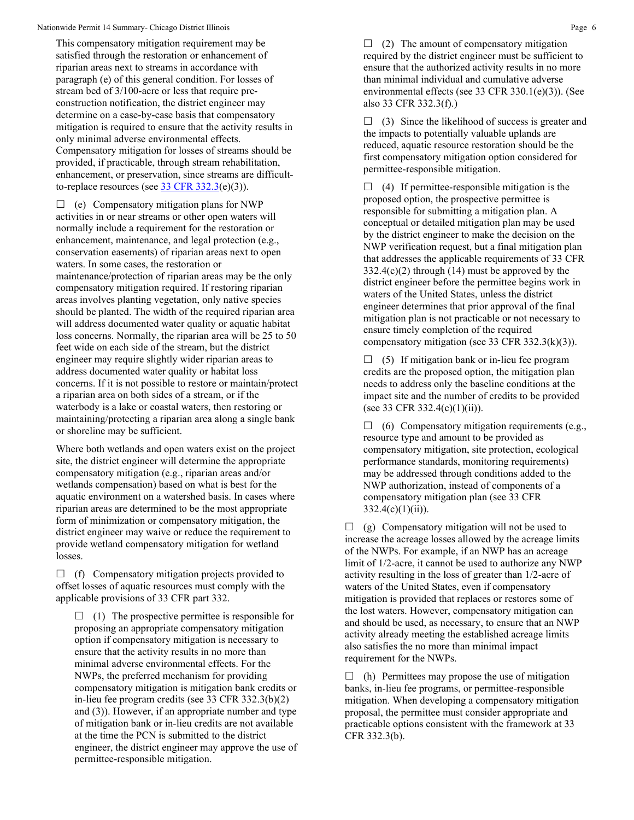This compensatory mitigation requirement may be satisfied through the restoration or enhancement of riparian areas next to streams in accordance with paragraph (e) of this general condition. For losses of stream bed of 3/100-acre or less that require preconstruction notification, the district engineer may determine on a case-by-case basis that compensatory mitigation is required to ensure that the activity results in only minimal adverse environmental effects. Compensatory mitigation for losses of streams should be provided, if practicable, through stream rehabilitation, enhancement, or preservation, since streams are difficultto-replace resources (see  $33 \text{ CFR } 332.3(e)(3)$ ).

 $\Box$  (e) Compensatory mitigation plans for NWP activities in or near streams or other open waters will normally include a requirement for the restoration or enhancement, maintenance, and legal protection (e.g., conservation easements) of riparian areas next to open waters. In some cases, the restoration or maintenance/protection of riparian areas may be the only compensatory mitigation required. If restoring riparian areas involves planting vegetation, only native species should be planted. The width of the required riparian area will address documented water quality or aquatic habitat loss concerns. Normally, the riparian area will be 25 to 50 feet wide on each side of the stream, but the district engineer may require slightly wider riparian areas to address documented water quality or habitat loss concerns. If it is not possible to restore or maintain/protect a riparian area on both sides of a stream, or if the waterbody is a lake or coastal waters, then restoring or maintaining/protecting a riparian area along a single bank or shoreline may be sufficient.

Where both wetlands and open waters exist on the project site, the district engineer will determine the appropriate compensatory mitigation (e.g., riparian areas and/or wetlands compensation) based on what is best for the aquatic environment on a watershed basis. In cases where riparian areas are determined to be the most appropriate form of minimization or compensatory mitigation, the district engineer may waive or reduce the requirement to provide wetland compensatory mitigation for wetland losses.

 $\Box$  (f) Compensatory mitigation projects provided to offset losses of aquatic resources must comply with the applicable provisions of 33 CFR part 332.

 $\Box$  (1) The prospective permittee is responsible for proposing an appropriate compensatory mitigation option if compensatory mitigation is necessary to ensure that the activity results in no more than minimal adverse environmental effects. For the NWPs, the preferred mechanism for providing compensatory mitigation is mitigation bank credits or in-lieu fee program credits (see 33 CFR 332.3(b)(2) and (3)). However, if an appropriate number and type of mitigation bank or in-lieu credits are not available at the time the PCN is submitted to the district engineer, the district engineer may approve the use of permittee-responsible mitigation.

 $\Box$  (2) The amount of compensatory mitigation required by the district engineer must be sufficient to ensure that the authorized activity results in no more than minimal individual and cumulative adverse environmental effects (see 33 CFR 330.1(e)(3)). (See also 33 CFR 332.3(f).)

 $\Box$  (3) Since the likelihood of success is greater and the impacts to potentially valuable uplands are reduced, aquatic resource restoration should be the first compensatory mitigation option considered for permittee-responsible mitigation.

 $\Box$  (4) If permittee-responsible mitigation is the proposed option, the prospective permittee is responsible for submitting a mitigation plan. A conceptual or detailed mitigation plan may be used by the district engineer to make the decision on the NWP verification request, but a final mitigation plan that addresses the applicable requirements of 33 CFR  $332.4(c)(2)$  through (14) must be approved by the district engineer before the permittee begins work in waters of the United States, unless the district engineer determines that prior approval of the final mitigation plan is not practicable or not necessary to ensure timely completion of the required compensatory mitigation (see 33 CFR 332.3(k)(3)).

 $\Box$  (5) If mitigation bank or in-lieu fee program credits are the proposed option, the mitigation plan needs to address only the baseline conditions at the impact site and the number of credits to be provided (see 33 CFR 332.4(c)(1)(ii)).

 $\Box$  (6) Compensatory mitigation requirements (e.g., resource type and amount to be provided as compensatory mitigation, site protection, ecological performance standards, monitoring requirements) may be addressed through conditions added to the NWP authorization, instead of components of a compensatory mitigation plan (see 33 CFR  $332.4(c)(1)(ii)$ .

 $\Box$  (g) Compensatory mitigation will not be used to increase the acreage losses allowed by the acreage limits of the NWPs. For example, if an NWP has an acreage limit of 1/2-acre, it cannot be used to authorize any NWP activity resulting in the loss of greater than 1/2-acre of waters of the United States, even if compensatory mitigation is provided that replaces or restores some of the lost waters. However, compensatory mitigation can and should be used, as necessary, to ensure that an NWP activity already meeting the established acreage limits also satisfies the no more than minimal impact requirement for the NWPs.

 $\Box$  (h) Permittees may propose the use of mitigation banks, in-lieu fee programs, or permittee-responsible mitigation. When developing a compensatory mitigation proposal, the permittee must consider appropriate and practicable options consistent with the framework at 33 CFR 332.3(b).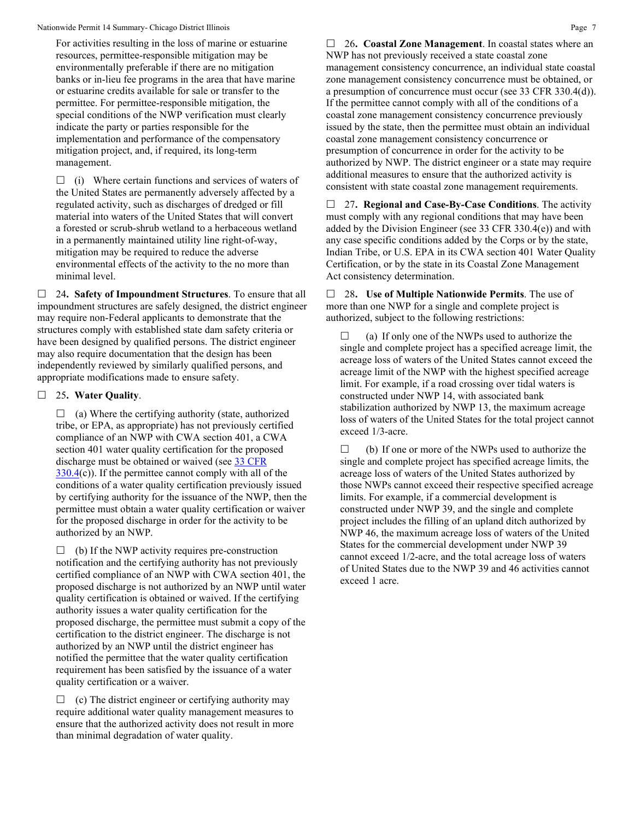For activities resulting in the loss of marine or estuarine resources, permittee-responsible mitigation may be environmentally preferable if there are no mitigation banks or in-lieu fee programs in the area that have marine or estuarine credits available for sale or transfer to the permittee. For permittee-responsible mitigation, the special conditions of the NWP verification must clearly indicate the party or parties responsible for the implementation and performance of the compensatory mitigation project, and, if required, its long-term management.

 $\Box$  (i) Where certain functions and services of waters of the United States are permanently adversely affected by a regulated activity, such as discharges of dredged or fill material into waters of the United States that will convert a forested or scrub-shrub wetland to a herbaceous wetland in a permanently maintained utility line right-of-way, mitigation may be required to reduce the adverse environmental effects of the activity to the no more than minimal level.

 24**. Safety of Impoundment Structures**. To ensure that all impoundment structures are safely designed, the district engineer may require non-Federal applicants to demonstrate that the structures comply with established state dam safety criteria or have been designed by qualified persons. The district engineer may also require documentation that the design has been independently reviewed by similarly qualified persons, and appropriate modifications made to ensure safety.

# 25**. Water Quality**.

 $\Box$  (a) Where the certifying authority (state, authorized tribe, or EPA, as appropriate) has not previously certified compliance of an NWP with CWA section 401, a CWA section 401 water quality certification for the proposed discharge must be obtained or waived (see 33 CFR  $330.4(c)$  $330.4(c)$ ). If the permittee cannot comply with all of the conditions of a water quality certification previously issued by certifying authority for the issuance of the NWP, then the permittee must obtain a water quality certification or waiver for the proposed discharge in order for the activity to be authorized by an NWP.

 $\Box$  (b) If the NWP activity requires pre-construction notification and the certifying authority has not previously certified compliance of an NWP with CWA section 401, the proposed discharge is not authorized by an NWP until water quality certification is obtained or waived. If the certifying authority issues a water quality certification for the proposed discharge, the permittee must submit a copy of the certification to the district engineer. The discharge is not authorized by an NWP until the district engineer has notified the permittee that the water quality certification requirement has been satisfied by the issuance of a water quality certification or a waiver.

 $\Box$  (c) The district engineer or certifying authority may require additional water quality management measures to ensure that the authorized activity does not result in more than minimal degradation of water quality.

 26**. Coastal Zone Management**. In coastal states where an NWP has not previously received a state coastal zone management consistency concurrence, an individual state coastal zone management consistency concurrence must be obtained, or a presumption of concurrence must occur (see 33 CFR 330.4(d)). If the permittee cannot comply with all of the conditions of a coastal zone management consistency concurrence previously issued by the state, then the permittee must obtain an individual coastal zone management consistency concurrence or presumption of concurrence in order for the activity to be authorized by NWP. The district engineer or a state may require additional measures to ensure that the authorized activity is consistent with state coastal zone management requirements.

 27**. Regional and Case-By-Case Conditions**. The activity must comply with any regional conditions that may have been added by the Division Engineer (see 33 CFR 330.4(e)) and with any case specific conditions added by the Corps or by the state, Indian Tribe, or U.S. EPA in its CWA section 401 Water Quality Certification, or by the state in its Coastal Zone Management Act consistency determination.

 28**. Use of Multiple Nationwide Permits**. The use of more than one NWP for a single and complete project is authorized, subject to the following restrictions:

 $\Box$  (a) If only one of the NWPs used to authorize the single and complete project has a specified acreage limit, the acreage loss of waters of the United States cannot exceed the acreage limit of the NWP with the highest specified acreage limit. For example, if a road crossing over tidal waters is constructed under NWP 14, with associated bank stabilization authorized by NWP 13, the maximum acreage loss of waters of the United States for the total project cannot exceed 1/3-acre.

 $\Box$  (b) If one or more of the NWPs used to authorize the single and complete project has specified acreage limits, the acreage loss of waters of the United States authorized by those NWPs cannot exceed their respective specified acreage limits. For example, if a commercial development is constructed under NWP 39, and the single and complete project includes the filling of an upland ditch authorized by NWP 46, the maximum acreage loss of waters of the United States for the commercial development under NWP 39 cannot exceed 1/2-acre, and the total acreage loss of waters of United States due to the NWP 39 and 46 activities cannot exceed 1 acre.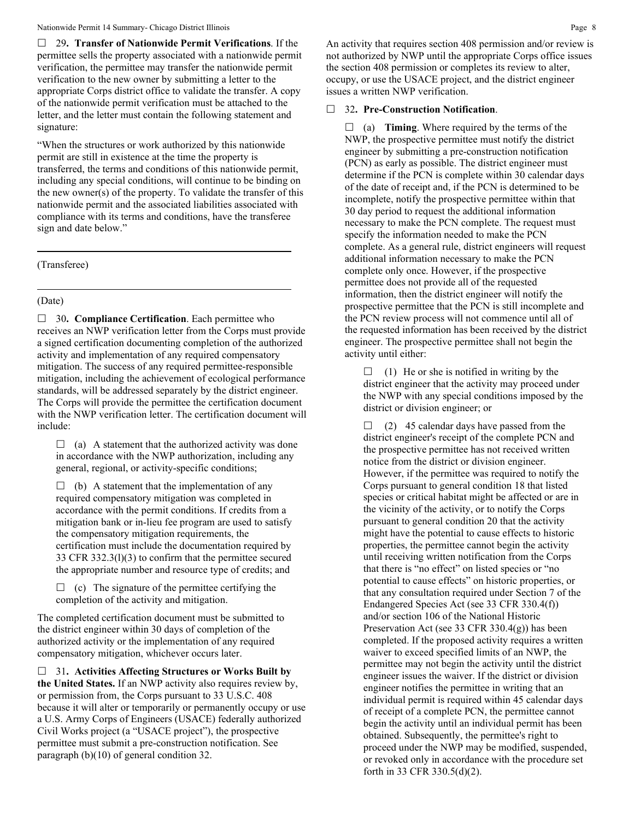29**. Transfer of Nationwide Permit Verifications**. If the permittee sells the property associated with a nationwide permit verification, the permittee may transfer the nationwide permit verification to the new owner by submitting a letter to the appropriate Corps district office to validate the transfer. A copy of the nationwide permit verification must be attached to the letter, and the letter must contain the following statement and signature:

"When the structures or work authorized by this nationwide permit are still in existence at the time the property is transferred, the terms and conditions of this nationwide permit, including any special conditions, will continue to be binding on the new owner(s) of the property. To validate the transfer of this nationwide permit and the associated liabilities associated with compliance with its terms and conditions, have the transferee sign and date below."

(Transferee)

## (Date)

□ 30. **Compliance Certification**. Each permittee who receives an NWP verification letter from the Corps must provide a signed certification documenting completion of the authorized activity and implementation of any required compensatory mitigation. The success of any required permittee-responsible mitigation, including the achievement of ecological performance standards, will be addressed separately by the district engineer. The Corps will provide the permittee the certification document with the NWP verification letter. The certification document will include:

 $\Box$  (a) A statement that the authorized activity was done in accordance with the NWP authorization, including any general, regional, or activity-specific conditions;

 $\Box$  (b) A statement that the implementation of any required compensatory mitigation was completed in accordance with the permit conditions. If credits from a mitigation bank or in-lieu fee program are used to satisfy the compensatory mitigation requirements, the certification must include the documentation required by 33 CFR 332.3(l)(3) to confirm that the permittee secured the appropriate number and resource type of credits; and

 $\Box$  (c) The signature of the permittee certifying the completion of the activity and mitigation.

The completed certification document must be submitted to the district engineer within 30 days of completion of the authorized activity or the implementation of any required compensatory mitigation, whichever occurs later.

 31**. Activities Affecting Structures or Works Built by the United States.** If an NWP activity also requires review by, or permission from, the Corps pursuant to 33 U.S.C. 408 because it will alter or temporarily or permanently occupy or use a U.S. Army Corps of Engineers (USACE) federally authorized Civil Works project (a "USACE project"), the prospective permittee must submit a pre-construction notification. See paragraph (b)(10) of general condition 32.

An activity that requires section 408 permission and/or review is not authorized by NWP until the appropriate Corps office issues the section 408 permission or completes its review to alter, occupy, or use the USACE project, and the district engineer issues a written NWP verification.

#### 32**. Pre-Construction Notification**.

 $\Box$  (a) **Timing**. Where required by the terms of the NWP, the prospective permittee must notify the district engineer by submitting a pre-construction notification (PCN) as early as possible. The district engineer must determine if the PCN is complete within 30 calendar days of the date of receipt and, if the PCN is determined to be incomplete, notify the prospective permittee within that 30 day period to request the additional information necessary to make the PCN complete. The request must specify the information needed to make the PCN complete. As a general rule, district engineers will request additional information necessary to make the PCN complete only once. However, if the prospective permittee does not provide all of the requested information, then the district engineer will notify the prospective permittee that the PCN is still incomplete and the PCN review process will not commence until all of the requested information has been received by the district engineer. The prospective permittee shall not begin the activity until either:

 $\Box$  (1) He or she is notified in writing by the district engineer that the activity may proceed under the NWP with any special conditions imposed by the district or division engineer; or

 $\Box$  (2) 45 calendar days have passed from the district engineer's receipt of the complete PCN and the prospective permittee has not received written notice from the district or division engineer. However, if the permittee was required to notify the Corps pursuant to general condition 18 that listed species or critical habitat might be affected or are in the vicinity of the activity, or to notify the Corps pursuant to general condition 20 that the activity might have the potential to cause effects to historic properties, the permittee cannot begin the activity until receiving written notification from the Corps that there is "no effect" on listed species or "no potential to cause effects" on historic properties, or that any consultation required under Section 7 of the Endangered Species Act (see 33 CFR 330.4(f)) and/or section 106 of the National Historic Preservation Act (see 33 CFR 330.4(g)) has been completed. If the proposed activity requires a written waiver to exceed specified limits of an NWP, the permittee may not begin the activity until the district engineer issues the waiver. If the district or division engineer notifies the permittee in writing that an individual permit is required within 45 calendar days of receipt of a complete PCN, the permittee cannot begin the activity until an individual permit has been obtained. Subsequently, the permittee's right to proceed under the NWP may be modified, suspended, or revoked only in accordance with the procedure set forth in 33 CFR 330.5(d)(2).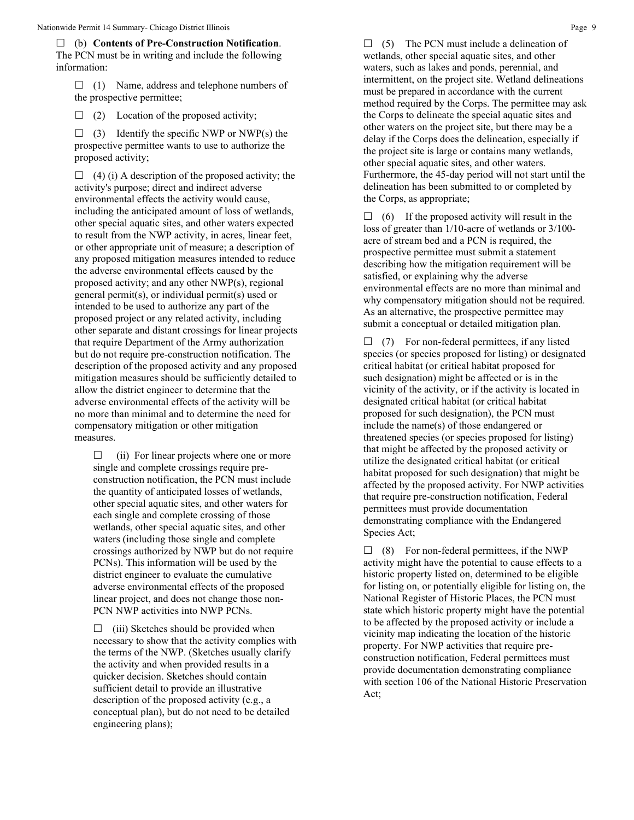(b) **Contents of Pre-Construction Notification**. The PCN must be in writing and include the following information:

 $\Box$  (1) Name, address and telephone numbers of the prospective permittee;

 $\Box$  (2) Location of the proposed activity;

 $\Box$  (3) Identify the specific NWP or NWP(s) the prospective permittee wants to use to authorize the proposed activity;

 $\Box$  (4) (i) A description of the proposed activity; the activity's purpose; direct and indirect adverse environmental effects the activity would cause, including the anticipated amount of loss of wetlands, other special aquatic sites, and other waters expected to result from the NWP activity, in acres, linear feet, or other appropriate unit of measure; a description of any proposed mitigation measures intended to reduce the adverse environmental effects caused by the proposed activity; and any other NWP(s), regional general permit(s), or individual permit(s) used or intended to be used to authorize any part of the proposed project or any related activity, including other separate and distant crossings for linear projects that require Department of the Army authorization but do not require pre-construction notification. The description of the proposed activity and any proposed mitigation measures should be sufficiently detailed to allow the district engineer to determine that the adverse environmental effects of the activity will be no more than minimal and to determine the need for compensatory mitigation or other mitigation measures.

 $\Box$  (ii) For linear projects where one or more single and complete crossings require preconstruction notification, the PCN must include the quantity of anticipated losses of wetlands, other special aquatic sites, and other waters for each single and complete crossing of those wetlands, other special aquatic sites, and other waters (including those single and complete crossings authorized by NWP but do not require PCNs). This information will be used by the district engineer to evaluate the cumulative adverse environmental effects of the proposed linear project, and does not change those non-PCN NWP activities into NWP PCNs.

 $\Box$  (iii) Sketches should be provided when necessary to show that the activity complies with the terms of the NWP. (Sketches usually clarify the activity and when provided results in a quicker decision. Sketches should contain sufficient detail to provide an illustrative description of the proposed activity (e.g., a conceptual plan), but do not need to be detailed engineering plans);

 $\Box$  (5) The PCN must include a delineation of wetlands, other special aquatic sites, and other waters, such as lakes and ponds, perennial, and intermittent, on the project site. Wetland delineations must be prepared in accordance with the current method required by the Corps. The permittee may ask the Corps to delineate the special aquatic sites and other waters on the project site, but there may be a delay if the Corps does the delineation, especially if the project site is large or contains many wetlands, other special aquatic sites, and other waters. Furthermore, the 45-day period will not start until the delineation has been submitted to or completed by the Corps, as appropriate;

 $\Box$  (6) If the proposed activity will result in the loss of greater than 1/10-acre of wetlands or 3/100 acre of stream bed and a PCN is required, the prospective permittee must submit a statement describing how the mitigation requirement will be satisfied, or explaining why the adverse environmental effects are no more than minimal and why compensatory mitigation should not be required. As an alternative, the prospective permittee may submit a conceptual or detailed mitigation plan.

 $\Box$  (7) For non-federal permittees, if any listed species (or species proposed for listing) or designated critical habitat (or critical habitat proposed for such designation) might be affected or is in the vicinity of the activity, or if the activity is located in designated critical habitat (or critical habitat proposed for such designation), the PCN must include the name(s) of those endangered or threatened species (or species proposed for listing) that might be affected by the proposed activity or utilize the designated critical habitat (or critical habitat proposed for such designation) that might be affected by the proposed activity. For NWP activities that require pre-construction notification, Federal permittees must provide documentation demonstrating compliance with the Endangered Species Act;

 $\Box$  (8) For non-federal permittees, if the NWP activity might have the potential to cause effects to a historic property listed on, determined to be eligible for listing on, or potentially eligible for listing on, the National Register of Historic Places, the PCN must state which historic property might have the potential to be affected by the proposed activity or include a vicinity map indicating the location of the historic property. For NWP activities that require preconstruction notification, Federal permittees must provide documentation demonstrating compliance with section 106 of the National Historic Preservation Act;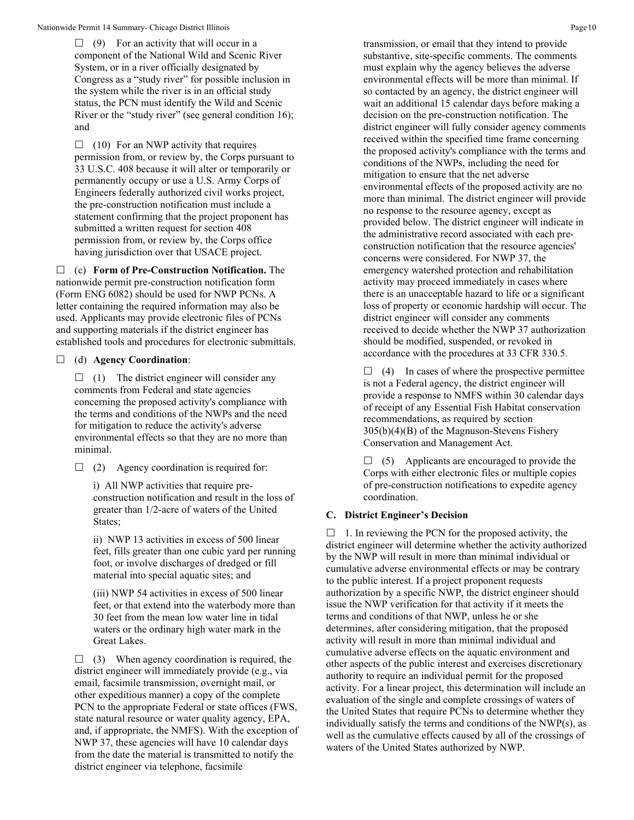$\Box$  (9) For an activity that will occur in a component of the National Wild and Scenic River System, or in a river officially designated by Congress as a "study river" for possible inclusion in the system while the river is in an official study status, the PCN must identify the Wild and Scenic River or the "study river" (see general condition 16); and

 $\Box$  (10) For an NWP activity that requires permission from, or review by, the Corps pursuant to 33 U.S.C. 408 because it will alter or temporarily or permanently occupy or use a U.S. Army Corps of Engineers federally authorized civil works project, the pre-construction notification must include a statement confirming that the project proponent has submitted a written request for section 408 permission from, or review by, the Corps office having jurisdiction over that USACE project.

 (c) **Form of Pre-Construction Notification.** The nationwide permit pre-construction notification form (Form ENG 6082) should be used for NWP PCNs. A letter containing the required information may also be used. Applicants may provide electronic files of PCNs and supporting materials if the district engineer has established tools and procedures for electronic submittals.

(d) **Agency Coordination**:

 $\Box$  (1) The district engineer will consider any comments from Federal and state agencies concerning the proposed activity's compliance with the terms and conditions of the NWPs and the need for mitigation to reduce the activity's adverse environmental effects so that they are no more than minimal.

 $\Box$  (2) Agency coordination is required for:

i) All NWP activities that require preconstruction notification and result in the loss of greater than 1/2-acre of waters of the United States;

ii) NWP 13 activities in excess of 500 linear feet, fills greater than one cubic yard per running foot, or involve discharges of dredged or fill material into special aquatic sites; and

(iii) NWP 54 activities in excess of 500 linear feet, or that extend into the waterbody more than 30 feet from the mean low water line in tidal waters or the ordinary high water mark in the Great Lakes.

 $\Box$  (3) When agency coordination is required, the district engineer will immediately provide (e.g., via email, facsimile transmission, overnight mail, or other expeditious manner) a copy of the complete PCN to the appropriate Federal or state offices (FWS, state natural resource or water quality agency, EPA, and, if appropriate, the NMFS). With the exception of NWP 37, these agencies will have 10 calendar days from the date the material is transmitted to notify the district engineer via telephone, facsimile

transmission, or email that they intend to provide substantive, site-specific comments. The comments must explain why the agency believes the adverse environmental effects will be more than minimal. If so contacted by an agency, the district engineer will wait an additional 15 calendar days before making a decision on the pre-construction notification. The district engineer will fully consider agency comments received within the specified time frame concerning the proposed activity's compliance with the terms and conditions of the NWPs, including the need for mitigation to ensure that the net adverse environmental effects of the proposed activity are no more than minimal. The district engineer will provide no response to the resource agency, except as provided below. The district engineer will indicate in the administrative record associated with each preconstruction notification that the resource agencies' concerns were considered. For NWP 37, the emergency watershed protection and rehabilitation activity may proceed immediately in cases where there is an unacceptable hazard to life or a significant loss of property or economic hardship will occur. The district engineer will consider any comments received to decide whether the NWP 37 authorization should be modified, suspended, or revoked in accordance with the procedures at 33 CFR 330.5.

 $\Box$  (4) In cases of where the prospective permittee is not a Federal agency, the district engineer will provide a response to NMFS within 30 calendar days of receipt of any Essential Fish Habitat conservation recommendations, as required by section 305(b)(4)(B) of the Magnuson-Stevens Fishery Conservation and Management Act.

 $\Box$  (5) Applicants are encouraged to provide the Corps with either electronic files or multiple copies of pre-construction notifications to expedite agency coordination.

## **C. District Engineer's Decision**

 $\Box$  1. In reviewing the PCN for the proposed activity, the district engineer will determine whether the activity authorized by the NWP will result in more than minimal individual or cumulative adverse environmental effects or may be contrary to the public interest. If a project proponent requests authorization by a specific NWP, the district engineer should issue the NWP verification for that activity if it meets the terms and conditions of that NWP, unless he or she determines, after considering mitigation, that the proposed activity will result in more than minimal individual and cumulative adverse effects on the aquatic environment and other aspects of the public interest and exercises discretionary authority to require an individual permit for the proposed activity. For a linear project, this determination will include an evaluation of the single and complete crossings of waters of the United States that require PCNs to determine whether they individually satisfy the terms and conditions of the NWP(s), as well as the cumulative effects caused by all of the crossings of waters of the United States authorized by NWP.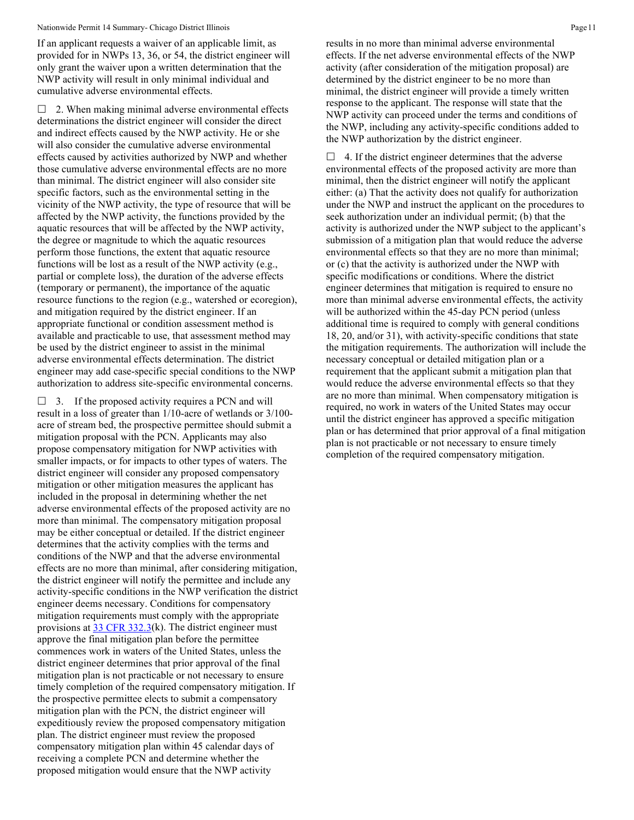If an applicant requests a waiver of an applicable limit, as provided for in NWPs 13, 36, or 54, the district engineer will only grant the waiver upon a written determination that the NWP activity will result in only minimal individual and cumulative adverse environmental effects.

 2. When making minimal adverse environmental effects determinations the district engineer will consider the direct and indirect effects caused by the NWP activity. He or she will also consider the cumulative adverse environmental effects caused by activities authorized by NWP and whether those cumulative adverse environmental effects are no more than minimal. The district engineer will also consider site specific factors, such as the environmental setting in the vicinity of the NWP activity, the type of resource that will be affected by the NWP activity, the functions provided by the aquatic resources that will be affected by the NWP activity, the degree or magnitude to which the aquatic resources perform those functions, the extent that aquatic resource functions will be lost as a result of the NWP activity (e.g., partial or complete loss), the duration of the adverse effects (temporary or permanent), the importance of the aquatic resource functions to the region (e.g., watershed or ecoregion), and mitigation required by the district engineer. If an appropriate functional or condition assessment method is available and practicable to use, that assessment method may be used by the district engineer to assist in the minimal adverse environmental effects determination. The district engineer may add case-specific special conditions to the NWP authorization to address site-specific environmental concerns.

 $\Box$  3. If the proposed activity requires a PCN and will result in a loss of greater than 1/10-acre of wetlands or 3/100 acre of stream bed, the prospective permittee should submit a mitigation proposal with the PCN. Applicants may also propose compensatory mitigation for NWP activities with smaller impacts, or for impacts to other types of waters. The district engineer will consider any proposed compensatory mitigation or other mitigation measures the applicant has included in the proposal in determining whether the net adverse environmental effects of the proposed activity are no more than minimal. The compensatory mitigation proposal may be either conceptual or detailed. If the district engineer determines that the activity complies with the terms and conditions of the NWP and that the adverse environmental effects are no more than minimal, after considering mitigation, the district engineer will notify the permittee and include any activity-specific conditions in the NWP verification the district engineer deems necessary. Conditions for compensatory mitigation requirements must comply with the appropriate provisions at  $\frac{33 \text{ CFR } 332.3 \text{ (k)}}{200 \text{ K}}$ . The district engineer must approve the final mitigation plan before the permittee commences work in waters of the United States, unless the district engineer determines that prior approval of the final mitigation plan is not practicable or not necessary to ensure timely completion of the required compensatory mitigation. If the prospective permittee elects to submit a compensatory mitigation plan with the PCN, the district engineer will expeditiously review the proposed compensatory mitigation plan. The district engineer must review the proposed compensatory mitigation plan within 45 calendar days of receiving a complete PCN and determine whether the proposed mitigation would ensure that the NWP activity

results in no more than minimal adverse environmental effects. If the net adverse environmental effects of the NWP activity (after consideration of the mitigation proposal) are determined by the district engineer to be no more than minimal, the district engineer will provide a timely written response to the applicant. The response will state that the NWP activity can proceed under the terms and conditions of the NWP, including any activity-specific conditions added to the NWP authorization by the district engineer.

 $\Box$  4. If the district engineer determines that the adverse environmental effects of the proposed activity are more than minimal, then the district engineer will notify the applicant either: (a) That the activity does not qualify for authorization under the NWP and instruct the applicant on the procedures to seek authorization under an individual permit; (b) that the activity is authorized under the NWP subject to the applicant's submission of a mitigation plan that would reduce the adverse environmental effects so that they are no more than minimal; or (c) that the activity is authorized under the NWP with specific modifications or conditions. Where the district engineer determines that mitigation is required to ensure no more than minimal adverse environmental effects, the activity will be authorized within the 45-day PCN period (unless additional time is required to comply with general conditions 18, 20, and/or 31), with activity-specific conditions that state the mitigation requirements. The authorization will include the necessary conceptual or detailed mitigation plan or a requirement that the applicant submit a mitigation plan that would reduce the adverse environmental effects so that they are no more than minimal. When compensatory mitigation is required, no work in waters of the United States may occur until the district engineer has approved a specific mitigation plan or has determined that prior approval of a final mitigation plan is not practicable or not necessary to ensure timely completion of the required compensatory mitigation.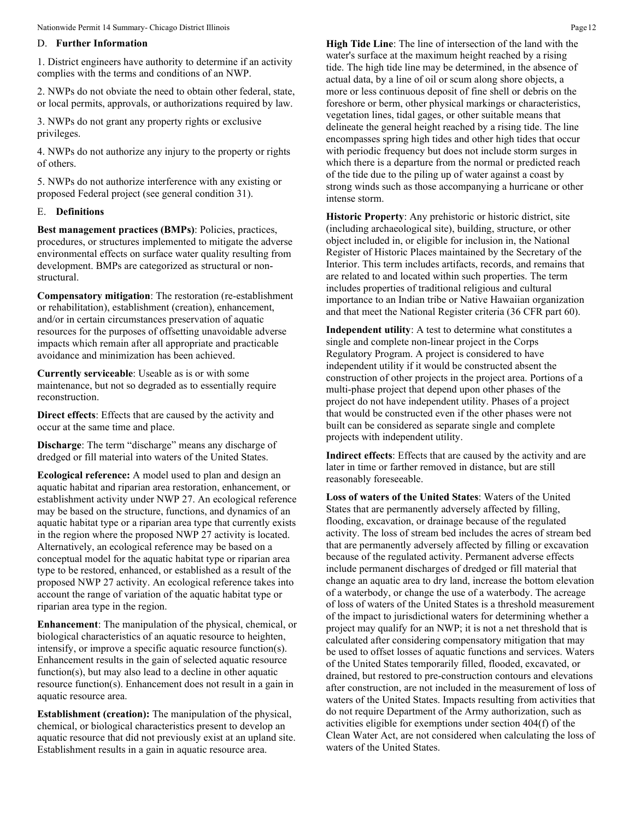## D. **Further Information**

1. District engineers have authority to determine if an activity complies with the terms and conditions of an NWP.

2. NWPs do not obviate the need to obtain other federal, state, or local permits, approvals, or authorizations required by law.

3. NWPs do not grant any property rights or exclusive privileges.

4. NWPs do not authorize any injury to the property or rights of others.

5. NWPs do not authorize interference with any existing or proposed Federal project (see general condition 31).

## E. **Definitions**

**Best management practices (BMPs)**: Policies, practices, procedures, or structures implemented to mitigate the adverse environmental effects on surface water quality resulting from development. BMPs are categorized as structural or nonstructural.

**Compensatory mitigation**: The restoration (re-establishment or rehabilitation), establishment (creation), enhancement, and/or in certain circumstances preservation of aquatic resources for the purposes of offsetting unavoidable adverse impacts which remain after all appropriate and practicable avoidance and minimization has been achieved.

**Currently serviceable**: Useable as is or with some maintenance, but not so degraded as to essentially require reconstruction.

**Direct effects**: Effects that are caused by the activity and occur at the same time and place.

**Discharge**: The term "discharge" means any discharge of dredged or fill material into waters of the United States.

**Ecological reference:** A model used to plan and design an aquatic habitat and riparian area restoration, enhancement, or establishment activity under NWP 27. An ecological reference may be based on the structure, functions, and dynamics of an aquatic habitat type or a riparian area type that currently exists in the region where the proposed NWP 27 activity is located. Alternatively, an ecological reference may be based on a conceptual model for the aquatic habitat type or riparian area type to be restored, enhanced, or established as a result of the proposed NWP 27 activity. An ecological reference takes into account the range of variation of the aquatic habitat type or riparian area type in the region.

**Enhancement**: The manipulation of the physical, chemical, or biological characteristics of an aquatic resource to heighten, intensify, or improve a specific aquatic resource function(s). Enhancement results in the gain of selected aquatic resource function(s), but may also lead to a decline in other aquatic resource function(s). Enhancement does not result in a gain in aquatic resource area.

**Establishment (creation):** The manipulation of the physical, chemical, or biological characteristics present to develop an aquatic resource that did not previously exist at an upland site. Establishment results in a gain in aquatic resource area.

**High Tide Line**: The line of intersection of the land with the water's surface at the maximum height reached by a rising tide. The high tide line may be determined, in the absence of actual data, by a line of oil or scum along shore objects, a more or less continuous deposit of fine shell or debris on the foreshore or berm, other physical markings or characteristics, vegetation lines, tidal gages, or other suitable means that delineate the general height reached by a rising tide. The line encompasses spring high tides and other high tides that occur with periodic frequency but does not include storm surges in which there is a departure from the normal or predicted reach of the tide due to the piling up of water against a coast by strong winds such as those accompanying a hurricane or other intense storm.

**Historic Property**: Any prehistoric or historic district, site (including archaeological site), building, structure, or other object included in, or eligible for inclusion in, the National Register of Historic Places maintained by the Secretary of the Interior. This term includes artifacts, records, and remains that are related to and located within such properties. The term includes properties of traditional religious and cultural importance to an Indian tribe or Native Hawaiian organization and that meet the National Register criteria (36 CFR part 60).

**Independent utility**: A test to determine what constitutes a single and complete non-linear project in the Corps Regulatory Program. A project is considered to have independent utility if it would be constructed absent the construction of other projects in the project area. Portions of a multi-phase project that depend upon other phases of the project do not have independent utility. Phases of a project that would be constructed even if the other phases were not built can be considered as separate single and complete projects with independent utility.

**Indirect effects**: Effects that are caused by the activity and are later in time or farther removed in distance, but are still reasonably foreseeable.

**Loss of waters of the United States**: Waters of the United States that are permanently adversely affected by filling, flooding, excavation, or drainage because of the regulated activity. The loss of stream bed includes the acres of stream bed that are permanently adversely affected by filling or excavation because of the regulated activity. Permanent adverse effects include permanent discharges of dredged or fill material that change an aquatic area to dry land, increase the bottom elevation of a waterbody, or change the use of a waterbody. The acreage of loss of waters of the United States is a threshold measurement of the impact to jurisdictional waters for determining whether a project may qualify for an NWP; it is not a net threshold that is calculated after considering compensatory mitigation that may be used to offset losses of aquatic functions and services. Waters of the United States temporarily filled, flooded, excavated, or drained, but restored to pre-construction contours and elevations after construction, are not included in the measurement of loss of waters of the United States. Impacts resulting from activities that do not require Department of the Army authorization, such as activities eligible for exemptions under section 404(f) of the Clean Water Act, are not considered when calculating the loss of waters of the United States.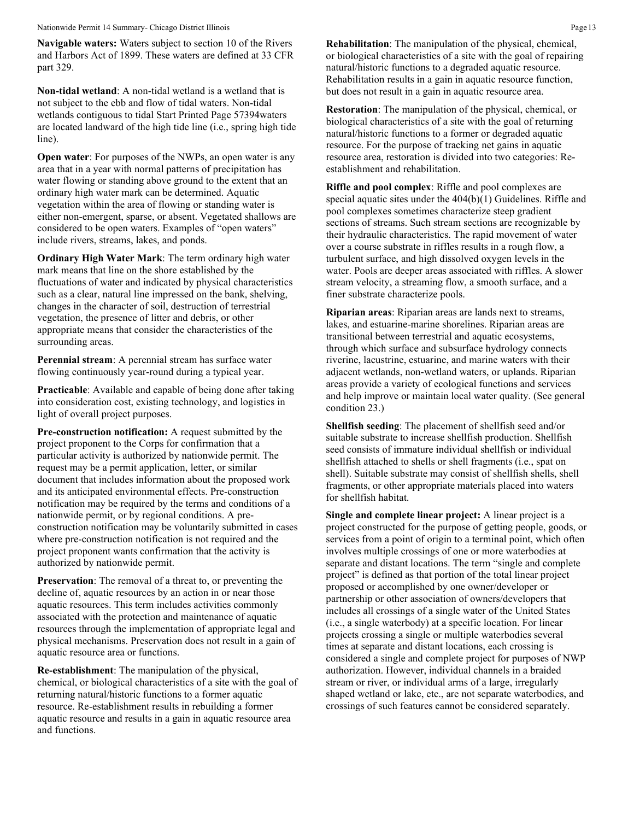**Navigable waters:** Waters subject to section 10 of the Rivers and Harbors Act of 1899. These waters are defined at 33 CFR part 329.

**Non-tidal wetland**: A non-tidal wetland is a wetland that is not subject to the ebb and flow of tidal waters. Non-tidal wetlands contiguous to tidal Start Printed Page 57394waters are located landward of the high tide line (i.e., spring high tide line).

**Open water:** For purposes of the NWPs, an open water is any area that in a year with normal patterns of precipitation has water flowing or standing above ground to the extent that an ordinary high water mark can be determined. Aquatic vegetation within the area of flowing or standing water is either non-emergent, sparse, or absent. Vegetated shallows are considered to be open waters. Examples of "open waters" include rivers, streams, lakes, and ponds.

**Ordinary High Water Mark**: The term ordinary high water mark means that line on the shore established by the fluctuations of water and indicated by physical characteristics such as a clear, natural line impressed on the bank, shelving, changes in the character of soil, destruction of terrestrial vegetation, the presence of litter and debris, or other appropriate means that consider the characteristics of the surrounding areas.

**Perennial stream**: A perennial stream has surface water flowing continuously year-round during a typical year.

**Practicable**: Available and capable of being done after taking into consideration cost, existing technology, and logistics in light of overall project purposes.

**Pre-construction notification:** A request submitted by the project proponent to the Corps for confirmation that a particular activity is authorized by nationwide permit. The request may be a permit application, letter, or similar document that includes information about the proposed work and its anticipated environmental effects. Pre-construction notification may be required by the terms and conditions of a nationwide permit, or by regional conditions. A preconstruction notification may be voluntarily submitted in cases where pre-construction notification is not required and the project proponent wants confirmation that the activity is authorized by nationwide permit.

**Preservation**: The removal of a threat to, or preventing the decline of, aquatic resources by an action in or near those aquatic resources. This term includes activities commonly associated with the protection and maintenance of aquatic resources through the implementation of appropriate legal and physical mechanisms. Preservation does not result in a gain of aquatic resource area or functions.

**Re-establishment**: The manipulation of the physical, chemical, or biological characteristics of a site with the goal of returning natural/historic functions to a former aquatic resource. Re-establishment results in rebuilding a former aquatic resource and results in a gain in aquatic resource area and functions.

**Rehabilitation**: The manipulation of the physical, chemical, or biological characteristics of a site with the goal of repairing natural/historic functions to a degraded aquatic resource. Rehabilitation results in a gain in aquatic resource function, but does not result in a gain in aquatic resource area.

**Restoration**: The manipulation of the physical, chemical, or biological characteristics of a site with the goal of returning natural/historic functions to a former or degraded aquatic resource. For the purpose of tracking net gains in aquatic resource area, restoration is divided into two categories: Reestablishment and rehabilitation.

**Riffle and pool complex**: Riffle and pool complexes are special aquatic sites under the 404(b)(1) Guidelines. Riffle and pool complexes sometimes characterize steep gradient sections of streams. Such stream sections are recognizable by their hydraulic characteristics. The rapid movement of water over a course substrate in riffles results in a rough flow, a turbulent surface, and high dissolved oxygen levels in the water. Pools are deeper areas associated with riffles. A slower stream velocity, a streaming flow, a smooth surface, and a finer substrate characterize pools.

**Riparian areas**: Riparian areas are lands next to streams, lakes, and estuarine-marine shorelines. Riparian areas are transitional between terrestrial and aquatic ecosystems, through which surface and subsurface hydrology connects riverine, lacustrine, estuarine, and marine waters with their adjacent wetlands, non-wetland waters, or uplands. Riparian areas provide a variety of ecological functions and services and help improve or maintain local water quality. (See general condition 23.)

**Shellfish seeding**: The placement of shellfish seed and/or suitable substrate to increase shellfish production. Shellfish seed consists of immature individual shellfish or individual shellfish attached to shells or shell fragments (i.e., spat on shell). Suitable substrate may consist of shellfish shells, shell fragments, or other appropriate materials placed into waters for shellfish habitat.

**Single and complete linear project:** A linear project is a project constructed for the purpose of getting people, goods, or services from a point of origin to a terminal point, which often involves multiple crossings of one or more waterbodies at separate and distant locations. The term "single and complete project" is defined as that portion of the total linear project proposed or accomplished by one owner/developer or partnership or other association of owners/developers that includes all crossings of a single water of the United States (i.e., a single waterbody) at a specific location. For linear projects crossing a single or multiple waterbodies several times at separate and distant locations, each crossing is considered a single and complete project for purposes of NWP authorization. However, individual channels in a braided stream or river, or individual arms of a large, irregularly shaped wetland or lake, etc., are not separate waterbodies, and crossings of such features cannot be considered separately.